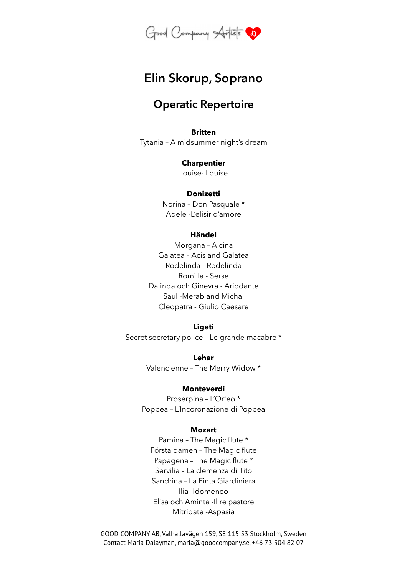

# **Elin Skorup, Soprano**

# **Operatic Repertoire**

## **Britten**

Tytania – A midsummer night's dream

#### **Charpentier**

Louise- Louise

#### **Donizetti**

Norina – Don Pasquale \* Adele -L'elisir d'amore

# **Händel**

Morgana – Alcina Galatea – Acis and Galatea Rodelinda - Rodelinda Romilla - Serse Dalinda och Ginevra - Ariodante Saul -Merab and Michal Cleopatra - Giulio Caesare

#### **Ligeti**

Secret secretary police – Le grande macabre \*

**Lehar** Valencienne – The Merry Widow \*

#### **Monteverdi**

Proserpina – L'Orfeo \* Poppea – L'Incoronazione di Poppea

#### **Mozart**

Pamina – The Magic flute \* Första damen – The Magic flute Papagena – The Magic flute \* Servilia – La clemenza di Tito Sandrina – La Finta Giardiniera Ilia -Idomeneo Elisa och Aminta -Il re pastore Mitridate -Aspasia

GOOD COMPANY AB, Valhallavägen 159, SE 115 53 Stockholm, Sweden Contact Maria Dalayman, maria@goodcompany.se, +46 73 504 82 07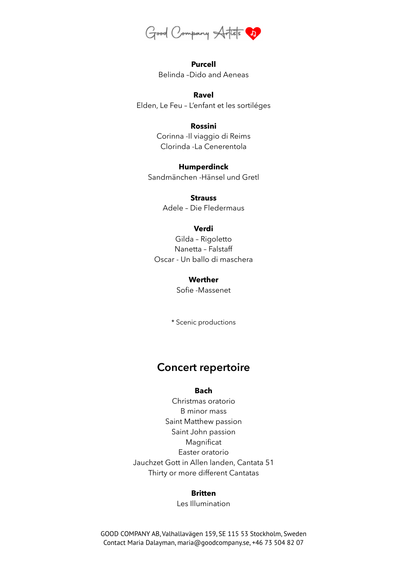

**Purcell** Belinda –Dido and Aeneas

#### **Ravel**

Elden, Le Feu – L'enfant et les sortiléges

## **Rossini**

Corinna -Il viaggio di Reims Clorinda -La Cenerentola

**Humperdinck**

Sandmänchen -Hänsel und Gretl

**Strauss** Adele – Die Fledermaus

#### **Verdi**

Gilda – Rigoletto Nanetta – Falstaff Oscar - Un ballo di maschera

#### **Werther**

Sofie -Massenet

\* Scenic productions

# **Concert repertoire**

#### **Bach**

Christmas oratorio B minor mass Saint Matthew passion Saint John passion Magnificat Easter oratorio Jauchzet Gott in Allen landen, Cantata 51 Thirty or more different Cantatas

#### **Britten**

Les Illumination

GOOD COMPANY AB, Valhallavägen 159, SE 115 53 Stockholm, Sweden Contact Maria Dalayman, maria@goodcompany.se, +46 73 504 82 07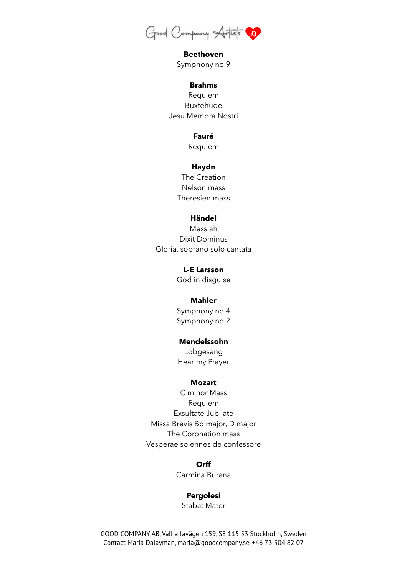

**Beethoven** Symphony no 9

#### **Brahms**

Requiem Buxtehude Jesu Membra Nostri

#### **Fauré**

Requiem

#### **Haydn**

The Creation Nelson mass Theresien mass

#### **Händel**

Messiah Dixit Dominus Gloria, soprano solo cantata

> **L-E Larsson** God in disguise

## **Mahler**

Symphony no 4 Symphony no 2

#### **Mendelssohn**

Lobgesang Hear my Prayer

#### **Mozart**

C minor Mass Requiem Exsultate Jubilate Missa Brevis Bb major, D major The Coronation mass Vesperae solennes de confessore

#### **Orff**

Carmina Burana

#### **Pergolesi**

Stabat Mater

GOOD COMPANY AB, Valhallavägen 159, SE 115 53 Stockholm, Sweden Contact Maria Dalayman, maria@goodcompany.se, +46 73 504 82 07